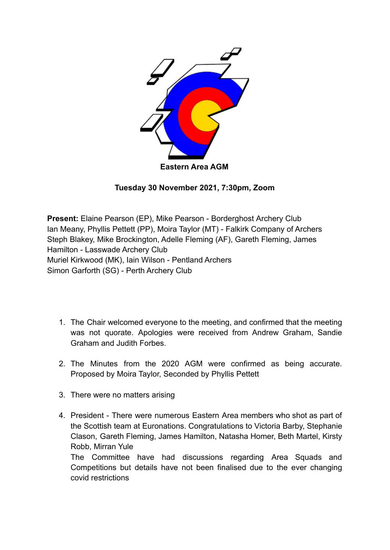

**Tuesday 30 November 2021, 7:30pm, Zoom**

**Present:** Elaine Pearson (EP), Mike Pearson - Borderghost Archery Club Ian Meany, Phyllis Pettett (PP), Moira Taylor (MT) - Falkirk Company of Archers Steph Blakey, Mike Brockington, Adelle Fleming (AF), Gareth Fleming, James Hamilton - Lasswade Archery Club Muriel Kirkwood (MK), Iain Wilson - Pentland Archers Simon Garforth (SG) - Perth Archery Club

- 1. The Chair welcomed everyone to the meeting, and confirmed that the meeting was not quorate. Apologies were received from Andrew Graham, Sandie Graham and Judith Forbes.
- 2. The Minutes from the 2020 AGM were confirmed as being accurate. Proposed by Moira Taylor, Seconded by Phyllis Pettett
- 3. There were no matters arising
- 4. President There were numerous Eastern Area members who shot as part of the Scottish team at Euronations. Congratulations to Victoria Barby, Stephanie Clason, Gareth Fleming, James Hamilton, Natasha Homer, Beth Martel, Kirsty Robb, Mirran Yule The Committee have had discussions regarding Area Squads and

Competitions but details have not been finalised due to the ever changing covid restrictions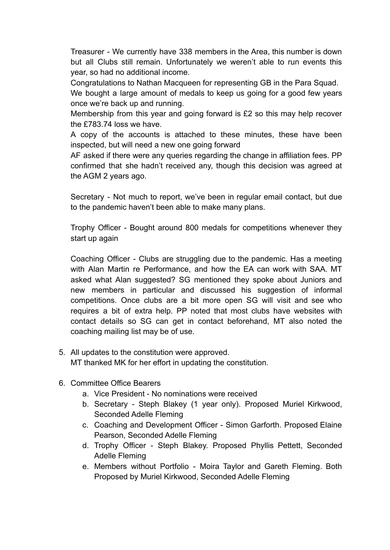Treasurer - We currently have 338 members in the Area, this number is down but all Clubs still remain. Unfortunately we weren't able to run events this year, so had no additional income.

Congratulations to Nathan Macqueen for representing GB in the Para Squad.

We bought a large amount of medals to keep us going for a good few years once we're back up and running.

Membership from this year and going forward is £2 so this may help recover the £783.74 loss we have.

A copy of the accounts is attached to these minutes, these have been inspected, but will need a new one going forward

AF asked if there were any queries regarding the change in affiliation fees. PP confirmed that she hadn't received any, though this decision was agreed at the AGM 2 years ago.

Secretary - Not much to report, we've been in regular email contact, but due to the pandemic haven't been able to make many plans.

Trophy Officer - Bought around 800 medals for competitions whenever they start up again

Coaching Officer - Clubs are struggling due to the pandemic. Has a meeting with Alan Martin re Performance, and how the EA can work with SAA. MT asked what Alan suggested? SG mentioned they spoke about Juniors and new members in particular and discussed his suggestion of informal competitions. Once clubs are a bit more open SG will visit and see who requires a bit of extra help. PP noted that most clubs have websites with contact details so SG can get in contact beforehand, MT also noted the coaching mailing list may be of use.

- 5. All updates to the constitution were approved. MT thanked MK for her effort in updating the constitution.
- 6. Committee Office Bearers
	- a. Vice President No nominations were received
	- b. Secretary Steph Blakey (1 year only). Proposed Muriel Kirkwood, Seconded Adelle Fleming
	- c. Coaching and Development Officer Simon Garforth. Proposed Elaine Pearson, Seconded Adelle Fleming
	- d. Trophy Officer Steph Blakey. Proposed Phyllis Pettett, Seconded Adelle Fleming
	- e. Members without Portfolio Moira Taylor and Gareth Fleming. Both Proposed by Muriel Kirkwood, Seconded Adelle Fleming